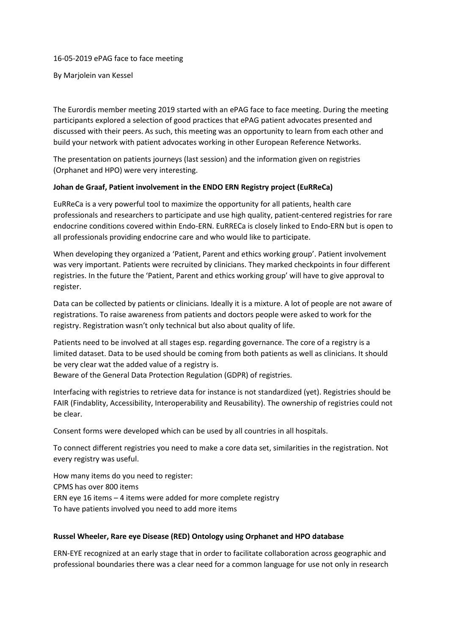#### 16-05-2019 ePAG face to face meeting

By Marjolein van Kessel

The Eurordis member meeting 2019 started with an ePAG face to face meeting. During the meeting participants explored a selection of good practices that ePAG patient advocates presented and discussed with their peers. As such, this meeting was an opportunity to learn from each other and build your network with patient advocates working in other European Reference Networks.

The presentation on patients journeys (last session) and the information given on registries (Orphanet and HPO) were very interesting.

## **Johan de Graaf, Patient involvement in the ENDO ERN Registry project (EuRReCa)**

EuRReCa is a very powerful tool to maximize the opportunity for all patients, health care professionals and researchers to participate and use high quality, patient-centered registries for rare endocrine conditions covered within Endo-ERN. EuRRECa is closely linked to Endo‐ERN but is open to all professionals providing endocrine care and who would like to participate.

When developing they organized a 'Patient, Parent and ethics working group'. Patient involvement was very important. Patients were recruited by clinicians. They marked checkpoints in four different registries. In the future the 'Patient, Parent and ethics working group' will have to give approval to register.

Data can be collected by patients or clinicians. Ideally it is a mixture. A lot of people are not aware of registrations. To raise awareness from patients and doctors people were asked to work for the registry. Registration wasn't only technical but also about quality of life.

Patients need to be involved at all stages esp. regarding governance. The core of a registry is a limited dataset. Data to be used should be coming from both patients as well as clinicians. It should be very clear wat the added value of a registry is.

Beware of the General Data Protection Regulation (GDPR) of registries.

Interfacing with registries to retrieve data for instance is not standardized (yet). Registries should be FAIR (Findablity, Accessibility, Interoperability and Reusability). The ownership of registries could not be clear.

Consent forms were developed which can be used by all countries in all hospitals.

To connect different registries you need to make a core data set, similarities in the registration. Not every registry was useful.

How many items do you need to register: CPMS has over 800 items ERN eye 16 items – 4 items were added for more complete registry To have patients involved you need to add more items

# **Russel Wheeler, Rare eye Disease (RED) Ontology using Orphanet and HPO database**

ERN-EYE recognized at an early stage that in order to facilitate collaboration across geographic and professional boundaries there was a clear need for a common language for use not only in research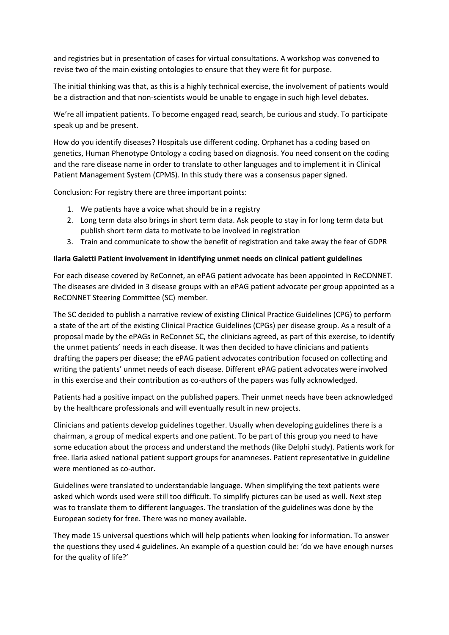and registries but in presentation of cases for virtual consultations. A workshop was convened to revise two of the main existing ontologies to ensure that they were fit for purpose.

The initial thinking was that, as this is a highly technical exercise, the involvement of patients would be a distraction and that non-scientists would be unable to engage in such high level debates.

We're all impatient patients. To become engaged read, search, be curious and study. To participate speak up and be present.

How do you identify diseases? Hospitals use different coding. Orphanet has a coding based on genetics, Human Phenotype Ontology a coding based on diagnosis. You need consent on the coding and the rare disease name in order to translate to other languages and to implement it in Clinical Patient Management System (CPMS). In this study there was a consensus paper signed.

Conclusion: For registry there are three important points:

- 1. We patients have a voice what should be in a registry
- 2. Long term data also brings in short term data. Ask people to stay in for long term data but publish short term data to motivate to be involved in registration
- 3. Train and communicate to show the benefit of registration and take away the fear of GDPR

## **Ilaria Galetti Patient involvement in identifying unmet needs on clinical patient guidelines**

For each disease covered by ReConnet, an ePAG patient advocate has been appointed in ReCONNET. The diseases are divided in 3 disease groups with an ePAG patient advocate per group appointed as a ReCONNET Steering Committee (SC) member.

The SC decided to publish a narrative review of existing Clinical Practice Guidelines (CPG) to perform a state of the art of the existing Clinical Practice Guidelines (CPGs) per disease group. As a result of a proposal made by the ePAGs in ReConnet SC, the clinicians agreed, as part of this exercise, to identify the unmet patients' needs in each disease. It was then decided to have clinicians and patients drafting the papers per disease; the ePAG patient advocates contribution focused on collecting and writing the patients' unmet needs of each disease. Different ePAG patient advocates were involved in this exercise and their contribution as co-authors of the papers was fully acknowledged.

Patients had a positive impact on the published papers. Their unmet needs have been acknowledged by the healthcare professionals and will eventually result in new projects.

Clinicians and patients develop guidelines together. Usually when developing guidelines there is a chairman, a group of medical experts and one patient. To be part of this group you need to have some education about the process and understand the methods (like Delphi study). Patients work for free. Ilaria asked national patient support groups for anamneses. Patient representative in guideline were mentioned as co-author.

Guidelines were translated to understandable language. When simplifying the text patients were asked which words used were still too difficult. To simplify pictures can be used as well. Next step was to translate them to different languages. The translation of the guidelines was done by the European society for free. There was no money available.

They made 15 universal questions which will help patients when looking for information. To answer the questions they used 4 guidelines. An example of a question could be: 'do we have enough nurses for the quality of life?'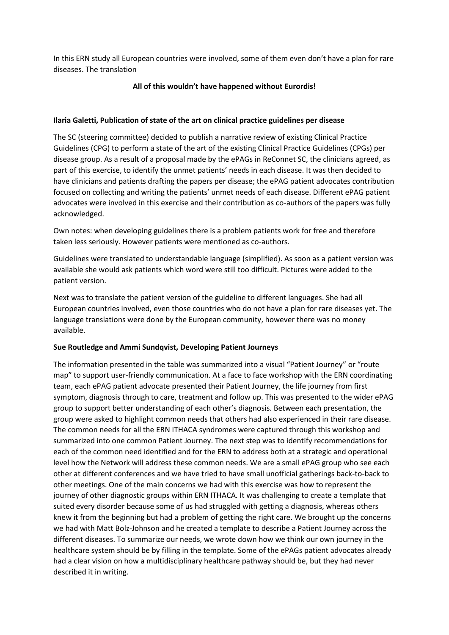In this ERN study all European countries were involved, some of them even don't have a plan for rare diseases. The translation

## **All of this wouldn't have happened without Eurordis!**

#### **Ilaria Galetti, Publication of state of the art on clinical practice guidelines per disease**

The SC (steering committee) decided to publish a narrative review of existing Clinical Practice Guidelines (CPG) to perform a state of the art of the existing Clinical Practice Guidelines (CPGs) per disease group. As a result of a proposal made by the ePAGs in ReConnet SC, the clinicians agreed, as part of this exercise, to identify the unmet patients' needs in each disease. It was then decided to have clinicians and patients drafting the papers per disease; the ePAG patient advocates contribution focused on collecting and writing the patients' unmet needs of each disease. Different ePAG patient advocates were involved in this exercise and their contribution as co-authors of the papers was fully acknowledged.

Own notes: when developing guidelines there is a problem patients work for free and therefore taken less seriously. However patients were mentioned as co-authors.

Guidelines were translated to understandable language (simplified). As soon as a patient version was available she would ask patients which word were still too difficult. Pictures were added to the patient version.

Next was to translate the patient version of the guideline to different languages. She had all European countries involved, even those countries who do not have a plan for rare diseases yet. The language translations were done by the European community, however there was no money available.

#### **Sue Routledge and Ammi Sundqvist, Developing Patient Journeys**

The information presented in the table was summarized into a visual "Patient Journey" or "route map" to support user-friendly communication. At a face to face workshop with the ERN coordinating team, each ePAG patient advocate presented their Patient Journey, the life journey from first symptom, diagnosis through to care, treatment and follow up. This was presented to the wider ePAG group to support better understanding of each other's diagnosis. Between each presentation, the group were asked to highlight common needs that others had also experienced in their rare disease. The common needs for all the ERN ITHACA syndromes were captured through this workshop and summarized into one common Patient Journey. The next step was to identify recommendations for each of the common need identified and for the ERN to address both at a strategic and operational level how the Network will address these common needs. We are a small ePAG group who see each other at different conferences and we have tried to have small unofficial gatherings back-to-back to other meetings. One of the main concerns we had with this exercise was how to represent the journey of other diagnostic groups within ERN ITHACA. It was challenging to create a template that suited every disorder because some of us had struggled with getting a diagnosis, whereas others knew it from the beginning but had a problem of getting the right care. We brought up the concerns we had with Matt Bolz-Johnson and he created a template to describe a Patient Journey across the different diseases. To summarize our needs, we wrote down how we think our own journey in the healthcare system should be by filling in the template. Some of the ePAGs patient advocates already had a clear vision on how a multidisciplinary healthcare pathway should be, but they had never described it in writing.